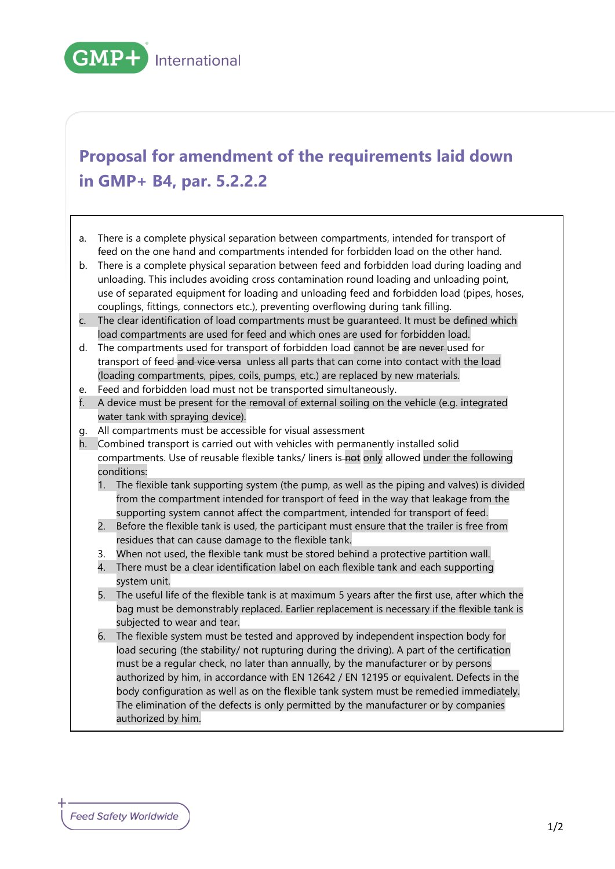

## **Proposal for amendment of the requirements laid down in GMP+ B4, par. 5.2.2.2**

- a. There is a complete physical separation between compartments, intended for transport of feed on the one hand and compartments intended for forbidden load on the other hand.
- b. There is a complete physical separation between feed and forbidden load during loading and unloading. This includes avoiding cross contamination round loading and unloading point, use of separated equipment for loading and unloading feed and forbidden load (pipes, hoses, couplings, fittings, connectors etc.), preventing overflowing during tank filling.
- c. The clear identification of load compartments must be guaranteed. It must be defined which load compartments are used for feed and which ones are used for forbidden load.
- d. The compartments used for transport of forbidden load cannot be are never used for transport of feed and vice versa unless all parts that can come into contact with the load (loading compartments, pipes, coils, pumps, etc.) are replaced by new materials.
- e. Feed and forbidden load must not be transported simultaneously.
- f. A device must be present for the removal of external soiling on the vehicle (e.g. integrated water tank with spraying device).
- g. All compartments must be accessible for visual assessment
- h. Combined transport is carried out with vehicles with permanently installed solid compartments. Use of reusable flexible tanks/ liners is not only allowed under the following conditions:
	- 1. The flexible tank supporting system (the pump, as well as the piping and valves) is divided from the compartment intended for transport of feed in the way that leakage from the supporting system cannot affect the compartment, intended for transport of feed.
	- 2. Before the flexible tank is used, the participant must ensure that the trailer is free from residues that can cause damage to the flexible tank.
	- 3. When not used, the flexible tank must be stored behind a protective partition wall.
	- 4. There must be a clear identification label on each flexible tank and each supporting system unit.
	- 5. The useful life of the flexible tank is at maximum 5 years after the first use, after which the bag must be demonstrably replaced. Earlier replacement is necessary if the flexible tank is subjected to wear and tear.
	- 6. The flexible system must be tested and approved by independent inspection body for load securing (the stability/ not rupturing during the driving). A part of the certification must be a regular check, no later than annually, by the manufacturer or by persons authorized by him, in accordance with EN 12642 / EN 12195 or equivalent. Defects in the body configuration as well as on the flexible tank system must be remedied immediately. The elimination of the defects is only permitted by the manufacturer or by companies authorized by him.